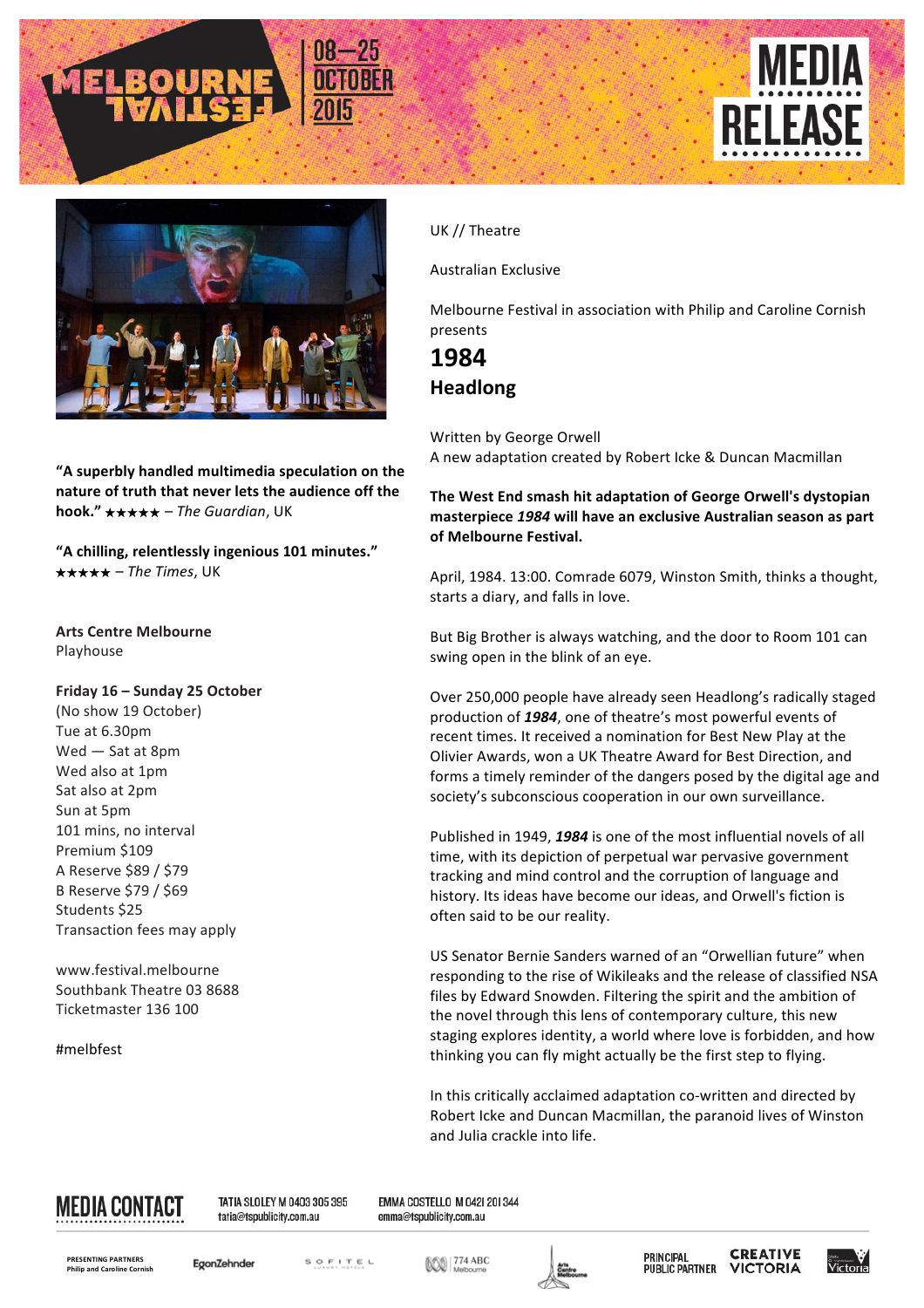





**"A superbly handled multimedia speculation on the nature** of truth that never lets the audience off the **hook."** ★★★★★ – *The Guardian*, UK

**"A chilling, relentlessly ingenious 101 minutes."**  ★★★★★ – *The Times*, UK

### **Arts Centre Melbourne** Playhouse

### Friday 16 - Sunday 25 October

(No show 19 October) Tue at 6.30pm  $Wed$  – Sat at 8pm Wed also at 1pm Sat also at 2pm Sun at 5pm 101 mins, no interval Premium \$109 A Reserve \$89 / \$79 B Reserve \$79 / \$69 Students \$25 Transaction fees may apply

www.festival.melbourne Southbank Theatre 03 8688 Ticketmaster 136 100

#melbfest

UK // Theatre

Australian Exclusive

Melbourne Festival in association with Philip and Caroline Cornish presents

## **1984 Headlong**

Written by George Orwell A new adaptation created by Robert Icke & Duncan Macmillan

The West End smash hit adaptation of George Orwell's dystopian masterpiece 1984 will have an exclusive Australian season as part **of Melbourne Festival.**

April, 1984. 13:00. Comrade 6079, Winston Smith, thinks a thought, starts a diary, and falls in love.

But Big Brother is always watching, and the door to Room 101 can swing open in the blink of an eye.

Over 250,000 people have already seen Headlong's radically staged production of 1984, one of theatre's most powerful events of recent times. It received a nomination for Best New Play at the Olivier Awards, won a UK Theatre Award for Best Direction, and forms a timely reminder of the dangers posed by the digital age and society's subconscious cooperation in our own surveillance.

Published in 1949, 1984 is one of the most influential novels of all time, with its depiction of perpetual war pervasive government tracking and mind control and the corruption of language and history. Its ideas have become our ideas, and Orwell's fiction is often said to be our reality.

US Senator Bernie Sanders warned of an "Orwellian future" when responding to the rise of Wikileaks and the release of classified NSA files by Edward Snowden. Filtering the spirit and the ambition of the novel through this lens of contemporary culture, this new staging explores identity, a world where love is forbidden, and how thinking you can fly might actually be the first step to flying.

In this critically acclaimed adaptation co-written and directed by Robert Icke and Duncan Macmillan, the paranoid lives of Winston and Julia crackle into life.



TATIA SLOLEY M 0403 305 395 tatia@tspublicity.com.au

EMMA COSTELLO M 0421 201344 emma@tspublicity.com.au

**PRESENTING PARTN Philip and Caroline Cornis**  EgonZehnder

SOFITEL

**DOO 774 ABC**